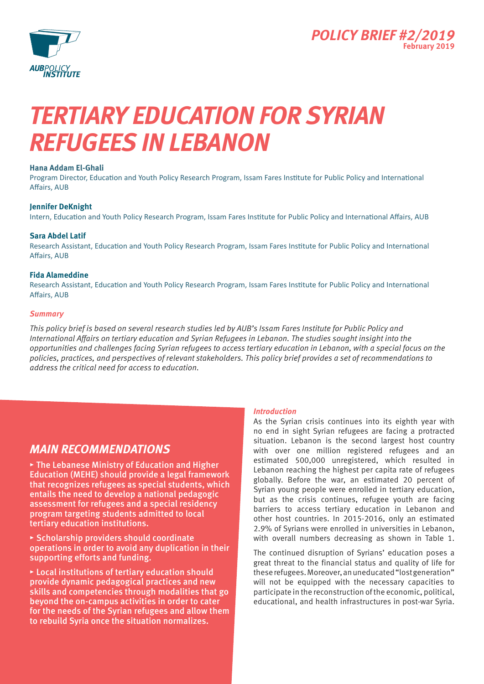



# *Tertiary Education for Syrian Refugees in Lebanon*

### **Hana Addam El-Ghali**

Program Director, Education and Youth Policy Research Program, Issam Fares Institute for Public Policy and International Affairs, AUB

### **Jennifer DeKnight**

Intern, Education and Youth Policy Research Program, Issam Fares Institute for Public Policy and International Affairs, AUB

### **Sara Abdel Latif**

Research Assistant, Education and Youth Policy Research Program, Issam Fares Institute for Public Policy and International Affairs, AUB

### **Fida Alameddine**

Research Assistant, Education and Youth Policy Research Program, Issam Fares Institute for Public Policy and International Affairs, AUB

### *Summary*

*This policy brief is based on several research studies led by AUB's Issam Fares Institute for Public Policy and International Affairs on tertiary education and Syrian Refugees in Lebanon. The studies sought insight into the opportunities and challenges facing Syrian refugees to access tertiary education in Lebanon, with a special focus on the policies, practices, and perspectives of relevant stakeholders. This policy brief provides a set of recommendations to address the critical need for access to education.*

### *Main recommendations*

**▸** The Lebanese Ministry of Education and Higher Education (MEHE) should provide a legal framework that recognizes refugees as special students, which entails the need to develop a national pedagogic assessment for refugees and a special residency program targeting students admitted to local tertiary education institutions.

**▸** Scholarship providers should coordinate operations in order to avoid any duplication in their supporting efforts and funding.

**▸** Local institutions of tertiary education should provide dynamic pedagogical practices and new skills and competencies through modalities that go beyond the on-campus activities in order to cater for the needs of the Syrian refugees and allow them to rebuild Syria once the situation normalizes.

### *Introduction*

As the Syrian crisis continues into its eighth year with no end in sight Syrian refugees are facing a protracted situation. Lebanon is the second largest host country with over one million registered refugees and an estimated 500,000 unregistered, which resulted in Lebanon reaching the highest per capita rate of refugees globally. Before the war, an estimated 20 percent of Syrian young people were enrolled in tertiary education, but as the crisis continues, refugee youth are facing barriers to access tertiary education in Lebanon and other host countries. In 2015-2016, only an estimated 2.9% of Syrians were enrolled in universities in Lebanon, with overall numbers decreasing as shown in Table 1.

The continued disruption of Syrians' education poses a great threat to the financial status and quality of life for these refugees. Moreover, an uneducated "lost generation" will not be equipped with the necessary capacities to participate in the reconstruction of the economic, political, educational, and health infrastructures in post-war Syria.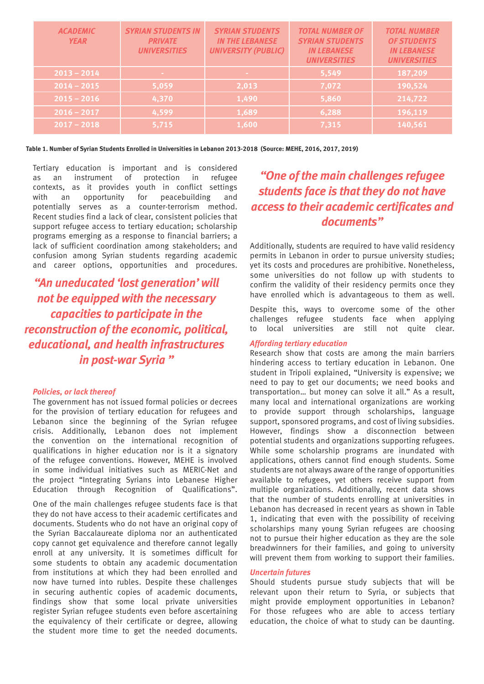| <b>ACADEMIC</b><br><b>YEAR</b> | <b>SYRIAN STUDENTS IN</b><br><b>PRIVATE</b><br><b>UNIVERSITIES</b> | <b>SYRIAN STUDENTS</b><br><b>IN THE LEBANESE</b><br><b>UNIVERSITY (PUBLIC)</b> | <b>TOTAL NUMBER OF</b><br><b>SYRIAN STUDENTS</b><br><b>IN LEBANESE</b><br><b>UNIVERSITIES</b> | <b>TOTAL NUMBER</b><br><b>OF STUDENTS</b><br><b>IN LEBANESE</b><br><b>UNIVERSITIES</b> |
|--------------------------------|--------------------------------------------------------------------|--------------------------------------------------------------------------------|-----------------------------------------------------------------------------------------------|----------------------------------------------------------------------------------------|
| $2013 - 2014$                  |                                                                    | <b>COL</b>                                                                     | 5,549                                                                                         | 187,209                                                                                |
| $2014 - 2015$                  | 5,059                                                              | 2,013                                                                          | 7,072                                                                                         | 190,524                                                                                |
| $2015 - 2016$                  | 4,370                                                              | 1,490                                                                          | 5,860                                                                                         | 214,722                                                                                |
| $2016 - 2017$                  | 4,599                                                              | 1,689                                                                          | 6,288                                                                                         | 196,119                                                                                |
| $2017 - 2018$                  | 5,715                                                              | 1,600                                                                          | 7,315                                                                                         | 140,561                                                                                |

**Table 1. Number of Syrian Students Enrolled in Universities in Lebanon 2013-2018 (Source: MEHE, 2016, 2017, 2019)**

Tertiary education is important and is considered as an instrument of protection in refugee contexts, as it provides youth in conflict settings with an opportunity for peacebuilding and potentially serves as a counter-terrorism method. Recent studies find a lack of clear, consistent policies that support refugee access to tertiary education; scholarship programs emerging as a response to financial barriers; a lack of sufficient coordination among stakeholders; and confusion among Syrian students regarding academic and career options, opportunities and procedures.

*"An uneducated 'lost generation' will not be equipped with the necessary capacities to participate in the reconstruction of the economic, political, educational, and health infrastructures in post-war Syria "*

### *Policies, or lack thereof*

The government has not issued formal policies or decrees for the provision of tertiary education for refugees and Lebanon since the beginning of the Syrian refugee crisis. Additionally, Lebanon does not implement the convention on the international recognition of qualifications in higher education nor is it a signatory of the refugee conventions. However, MEHE is involved in some individual initiatives such as MERIC-Net and the project "Integrating Syrians into Lebanese Higher Education through Recognition of Qualifications".

One of the main challenges refugee students face is that they do not have access to their academic certificates and documents. Students who do not have an original copy of the Syrian Baccalaureate diploma nor an authenticated copy cannot get equivalence and therefore cannot legally enroll at any university. It is sometimes difficult for some students to obtain any academic documentation from institutions at which they had been enrolled and now have turned into rubles. Despite these challenges in securing authentic copies of academic documents, findings show that some local private universities register Syrian refugee students even before ascertaining the equivalency of their certificate or degree, allowing the student more time to get the needed documents.

## *"One of the main challenges refugee students face is that they do not have access to their academic certificates and documents"*

Additionally, students are required to have valid residency permits in Lebanon in order to pursue university studies; yet its costs and procedures are prohibitive. Nonetheless, some universities do not follow up with students to confirm the validity of their residency permits once they have enrolled which is advantageous to them as well.

Despite this, ways to overcome some of the other challenges refugee students face when applying<br>to local universities are still not quite clear. to local universities are still not quite clear.

#### *Affording tertiary education*

Research show that costs are among the main barriers hindering access to tertiary education in Lebanon. One student in Tripoli explained, "University is expensive; we need to pay to get our documents; we need books and transportation… but money can solve it all." As a result, many local and international organizations are working to provide support through scholarships, language support, sponsored programs, and cost of living subsidies. However, findings show a disconnection between potential students and organizations supporting refugees. While some scholarship programs are inundated with applications, others cannot find enough students. Some students are not always aware of the range of opportunities available to refugees, yet others receive support from multiple organizations. Additionally, recent data shows that the number of students enrolling at universities in Lebanon has decreased in recent years as shown in Table 1, indicating that even with the possibility of receiving scholarships many young Syrian refugees are choosing not to pursue their higher education as they are the sole breadwinners for their families, and going to university will prevent them from working to support their families.

### *Uncertain futures*

Should students pursue study subjects that will be relevant upon their return to Syria, or subjects that might provide employment opportunities in Lebanon? For those refugees who are able to access tertiary education, the choice of what to study can be daunting.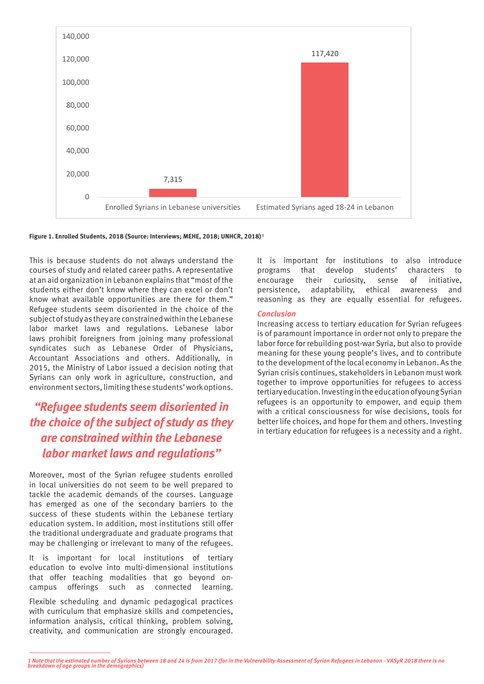

**Figure 1. Enrolled Students, 2018 (Source: Interviews; MEHE, 2018; UNHCR, 2018) 1**

This is because students do not always understand the courses of study and related career paths. A representative at an aid organization in Lebanon explains that "most of the students either don't know where they can excel or don't know what available opportunities are there for them." Refugee students seem disoriented in the choice of the subject of study as they are constrained within the Lebanese labor market laws and regulations. Lebanese labor laws prohibit foreigners from joining many professional syndicates such as Lebanese Order of Physicians, Accountant Associations and others. Additionally, in 2015, the Ministry of Labor issued a decision noting that Syrians can only work in agriculture, construction, and environment sectors, limiting these students' work options.

### *"Refugee students seem disoriented in the choice of the subject of study as they are constrained within the Lebanese labor market laws and regulations"*

Moreover, most of the Syrian refugee students enrolled in local universities do not seem to be well prepared to tackle the academic demands of the courses. Language has emerged as one of the secondary barriers to the success of these students within the Lebanese tertiary education system. In addition, most institutions still offer the traditional undergraduate and graduate programs that may be challenging or irrelevant to many of the refugees.

It is important for local institutions of tertiary education to evolve into multi-dimensional institutions that offer teaching modalities that go beyond oncampus offerings such as connected learning.

Flexible scheduling and dynamic pedagogical practices with curriculum that emphasize skills and competencies, information analysis, critical thinking, problem solving, creativity, and communication are strongly encouraged. It is important for institutions to also introduce programs that develop students' characters to encourage their curiosity, sense of initiative, persistence, adaptability, ethical awareness and reasoning as they are equally essential for refugees.

### *Conclusion*

Increasing access to tertiary education for Syrian refugees is of paramount importance in order not only to prepare the labor force for rebuilding post-war Syria, but also to provide meaning for these young people's lives, and to contribute to the development of the local economy in Lebanon. As the Syrian crisis continues, stakeholders in Lebanon must work together to improve opportunities for refugees to access tertiary education. Investing in the education of young Syrian refugees is an opportunity to empower, and equip them with a critical consciousness for wise decisions, tools for better life choices, and hope for them and others. Investing in tertiary education for refugees is a necessity and a right.

*<sup>1</sup> Note that the estimated number of Syrians between 18 and 24 is from 2017 (for in the Vulnerability Assessment of Syrian Refugees in Lebanon - VASyR 2018 there is no breakdown of age groups in the demographics)*